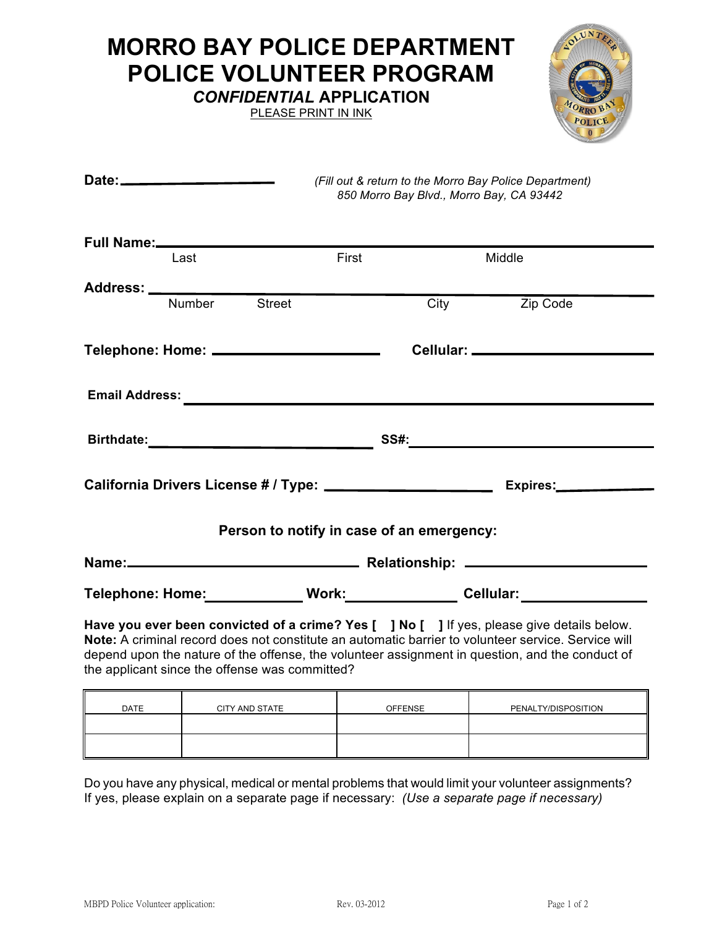## **MORRO BAY POLICE DEPARTMENT POLICE VOLUNTEER PROGRAM**

*CONFIDENTIAL* **APPLICATION**

PLEASE PRINT IN INK



| Date: ________________________                                                                                                                                                                                                                                                                                                                         |       | 850 Morro Bay Blvd., Morro Bay, CA 93442 | (Fill out & return to the Morro Bay Police Department) |  |  |
|--------------------------------------------------------------------------------------------------------------------------------------------------------------------------------------------------------------------------------------------------------------------------------------------------------------------------------------------------------|-------|------------------------------------------|--------------------------------------------------------|--|--|
| Full Name:<br>Full Name:                                                                                                                                                                                                                                                                                                                               |       |                                          |                                                        |  |  |
| Last                                                                                                                                                                                                                                                                                                                                                   | First |                                          | Middle                                                 |  |  |
|                                                                                                                                                                                                                                                                                                                                                        |       |                                          |                                                        |  |  |
| <b>Street</b><br><b>Number</b>                                                                                                                                                                                                                                                                                                                         |       | City                                     | Zip Code                                               |  |  |
| Telephone: Home: _______________________                                                                                                                                                                                                                                                                                                               |       |                                          |                                                        |  |  |
|                                                                                                                                                                                                                                                                                                                                                        |       |                                          |                                                        |  |  |
|                                                                                                                                                                                                                                                                                                                                                        |       | <b>SS#:</b>                              |                                                        |  |  |
|                                                                                                                                                                                                                                                                                                                                                        |       |                                          |                                                        |  |  |
| Person to notify in case of an emergency:                                                                                                                                                                                                                                                                                                              |       |                                          |                                                        |  |  |
|                                                                                                                                                                                                                                                                                                                                                        |       |                                          |                                                        |  |  |
| Telephone: Home:____________ Work:_____________ Cellular:________________                                                                                                                                                                                                                                                                              |       |                                          |                                                        |  |  |
| Have you ever been convicted of a crime? Yes [ ] No [ ] If yes, please give details below.<br>Note: A criminal record does not constitute an automatic barrier to volunteer service. Service will<br>depend upon the nature of the offense, the volunteer assignment in question, and the conduct of<br>the applicant since the offense was committed? |       |                                          |                                                        |  |  |

| <b>DATE</b> | CITY AND STATE | <b>OFFENSE</b> | PENALTY/DISPOSITION |
|-------------|----------------|----------------|---------------------|
|             |                |                |                     |
|             |                |                |                     |

Do you have any physical, medical or mental problems that would limit your volunteer assignments? If yes, please explain on a separate page if necessary: *(Use a separate page if necessary)*